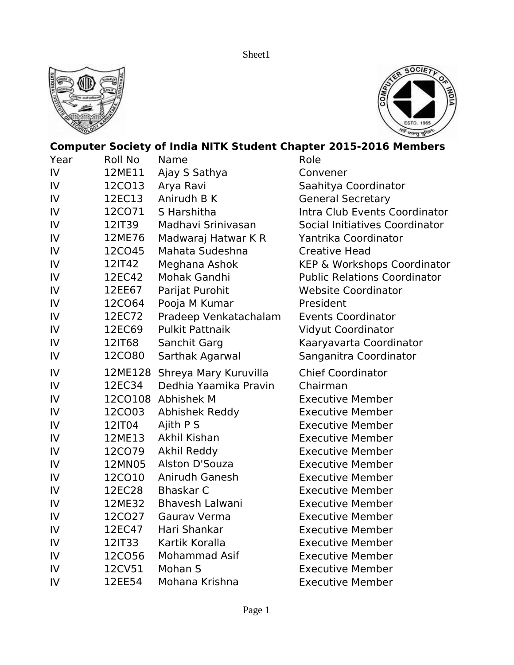



## **Computer Society of India NITK Student Chapter 2015-2016 Members**

| Year          | Roll No       | Name                   | Role                                |
|---------------|---------------|------------------------|-------------------------------------|
| $\mathsf{IV}$ | 12ME11        | Ajay S Sathya          | Convener                            |
| $\mathsf{IV}$ | 12CO13        | Arya Ravi              | Saahitya Coordinator                |
| IV            | 12EC13        | Anirudh B K            | <b>General Secretary</b>            |
| IV            | 12CO71        | S Harshitha            | Intra Club Events Coordinator       |
| $\mathsf{IV}$ | 12IT39        | Madhavi Sriniyasan     | Social Initiatives Coordinator      |
| $\mathsf{IV}$ | 12ME76        | Madwaraj Hatwar K R    | Yantrika Coordinator                |
| IV            | 12CO45        | Mahata Sudeshna        | <b>Creative Head</b>                |
| IV            | 12IT42        | Meghana Ashok          | KEP & Workshops Coordinator         |
| $\mathsf{IV}$ | 12EC42        | Mohak Gandhi           | <b>Public Relations Coordinator</b> |
| IV            | 12EE67        | Parijat Purohit        | <b>Website Coordinator</b>          |
| IV            | 12CO64        | Pooja M Kumar          | President                           |
| IV            | 12EC72        | Pradeep Venkatachalam  | <b>Events Coordinator</b>           |
| ${\sf IV}$    | 12EC69        | <b>Pulkit Pattnaik</b> | <b>Vidyut Coordinator</b>           |
| IV            | 12IT68        | Sanchit Garg           | Kaaryavarta Coordinator             |
| IV            | <b>12CO80</b> | Sarthak Agarwal        | Sanganitra Coordinator              |
| IV            | 12ME128       | Shreya Mary Kuruvilla  | <b>Chief Coordinator</b>            |
| IV            | 12EC34        | Dedhia Yaamika Pravin  | Chairman                            |
| ${\sf IV}$    |               | 12CO108 Abhishek M     | <b>Executive Member</b>             |
| IV            | 12CO03        | Abhishek Reddy         | <b>Executive Member</b>             |
| IV            | 12IT04        | Ajith P S              | <b>Executive Member</b>             |
| IV            | 12ME13        | Akhil Kishan           | <b>Executive Member</b>             |
| $\mathsf{IV}$ | 12CO79        | Akhil Reddy            | <b>Executive Member</b>             |
| ${\sf IV}$    | 12MN05        | Alston D'Souza         | <b>Executive Member</b>             |
| IV            | 12CO10        | Anirudh Ganesh         | <b>Executive Member</b>             |
| $\mathsf{IV}$ | 12EC28        | <b>Bhaskar C</b>       | <b>Executive Member</b>             |
| $\mathsf{IV}$ | 12ME32        | <b>Bhavesh Lalwani</b> | <b>Executive Member</b>             |
| IV            | 12CO27        | Gaurav Verma           | <b>Executive Member</b>             |
| IV            | 12EC47        | Hari Shankar           | <b>Executive Member</b>             |
| IV            | 12IT33        | Kartik Koralla         | <b>Executive Member</b>             |
| IV            | 12CO56        | Mohammad Asif          | <b>Executive Member</b>             |
| IV            | 12CV51        | Mohan S                | <b>Executive Member</b>             |
| IV            | 12EE54        | Mohana Krishna         | <b>Executive Member</b>             |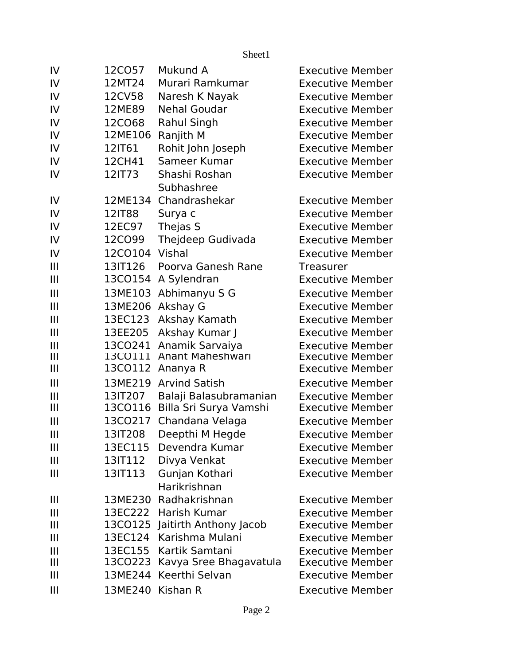| IV             | 12CO57           | Mukund A                       | <b>Executive Member</b> |
|----------------|------------------|--------------------------------|-------------------------|
| IV             | 12MT24           | Murari Ramkumar                | <b>Executive Member</b> |
| IV             | 12CV58           | Naresh K Nayak                 | <b>Executive Member</b> |
| IV             | 12ME89           | <b>Nehal Goudar</b>            | <b>Executive Member</b> |
| IV             | 12CO68           | Rahul Singh                    | <b>Executive Member</b> |
| IV             | 12ME106          | Ranjith M                      | <b>Executive Member</b> |
| IV             | 12IT61           | Rohit John Joseph              | <b>Executive Member</b> |
| IV             | 12CH41           | Sameer Kumar                   | <b>Executive Member</b> |
| IV             | 12IT73           | Shashi Roshan                  | <b>Executive Member</b> |
|                |                  | Subhashree                     |                         |
| IV             | 12ME134          | Chandrashekar                  | <b>Executive Member</b> |
| IV             | 12IT88           | Surya c                        | <b>Executive Member</b> |
| IV             | 12EC97           | Thejas S                       | <b>Executive Member</b> |
| IV             | 12CO99           | Thejdeep Gudivada              | <b>Executive Member</b> |
| IV             | 12CO104 Vishal   |                                | <b>Executive Member</b> |
| $\mathbf{III}$ | 13IT126          | Poorva Ganesh Rane             | <b>Treasurer</b>        |
| $\mathbf{III}$ | 13CO154          | A Sylendran                    | <b>Executive Member</b> |
| $\mathbf{III}$ | 13ME103          | Abhimanyu S G                  | <b>Executive Member</b> |
| $\mathbf{III}$ | 13ME206          | Akshay G                       | <b>Executive Member</b> |
| $\mathbf{III}$ | 13EC123          | Akshay Kamath                  | <b>Executive Member</b> |
| $\mathbf{III}$ | 13EE205          | Akshay Kumar J                 | <b>Executive Member</b> |
| $\mathbf{III}$ | 13CO241          | Anamik Sarvaiya                | <b>Executive Member</b> |
| $\mathbf{III}$ | 13CO111          | Anant Maheshwari               | <b>Executive Member</b> |
| $\mathbf{III}$ |                  | 13CO112 Ananya R               | <b>Executive Member</b> |
| $\mathbf{III}$ | 13ME219          | <b>Arvind Satish</b>           | <b>Executive Member</b> |
| $\mathbf{III}$ | 13IT207          | Balaji Balasubramanian         | <b>Executive Member</b> |
| $\mathbf{III}$ | 13CO116          | Billa Sri Surya Vamshi         | <b>Executive Member</b> |
| $\mathbf{III}$ | 13CO217          | Chandana Velaga                | <b>Executive Member</b> |
| $\mathbf{III}$ | 13IT208          | Deepthi M Hegde                | <b>Executive Member</b> |
| $\mathbf{III}$ | 13EC115          | Devendra Kumar                 | <b>Executive Member</b> |
| $\mathbf{III}$ | 13IT112          | Divya Venkat                   | <b>Executive Member</b> |
| $\mathbf{III}$ | 13IT113          | Gunjan Kothari<br>Harikrishnan | <b>Executive Member</b> |
| $\mathbf{III}$ |                  | 13ME230 Radhakrishnan          | <b>Executive Member</b> |
| $\mathbf{III}$ | 13EC222          | Harish Kumar                   | <b>Executive Member</b> |
| $\mathbf{III}$ |                  | 13CO125 Jaitirth Anthony Jacob | <b>Executive Member</b> |
| $\mathbf{III}$ | 13EC124          | Karishma Mulani                | <b>Executive Member</b> |
| $\mathbf{III}$ | 13EC155          | Kartik Samtani                 | <b>Executive Member</b> |
| $\mathbf{III}$ | 13CO223          | Kavya Sree Bhagavatula         | <b>Executive Member</b> |
| $\mathbf{III}$ | 13ME244          | Keerthi Selvan                 | <b>Executive Member</b> |
| $\mathbf{III}$ | 13ME240 Kishan R |                                | <b>Executive Member</b> |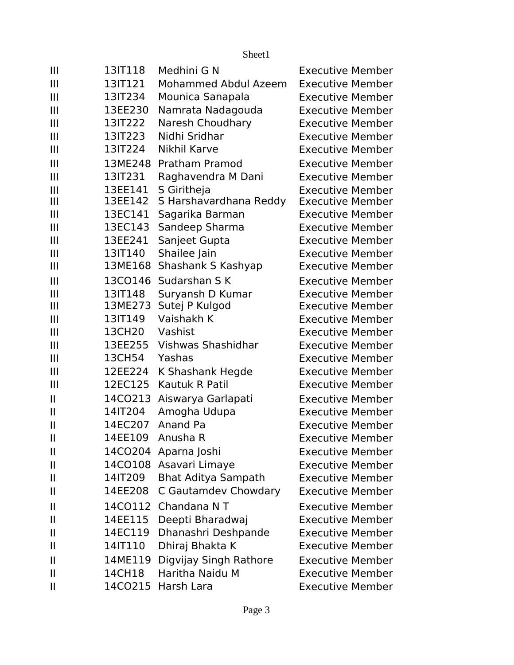| $\mathbf{III}$        | 13IT118 | Medhini G N                 | <b>Executive Member</b> |
|-----------------------|---------|-----------------------------|-------------------------|
| $\mathbf{III}$        | 13IT121 | <b>Mohammed Abdul Azeem</b> | <b>Executive Member</b> |
| $\mathbf{III}$        | 13IT234 | Mounica Sanapala            | <b>Executive Member</b> |
| $\mathbf{III}$        | 13EE230 | Namrata Nadagouda           | <b>Executive Member</b> |
| III                   | 13IT222 | Naresh Choudhary            | <b>Executive Member</b> |
| $\mathbf{III}$        | 13IT223 | Nidhi Sridhar               | <b>Executive Member</b> |
| $\mathbf{III}$        | 13IT224 | Nikhil Karve                | <b>Executive Member</b> |
| III                   | 13ME248 | <b>Pratham Pramod</b>       | <b>Executive Member</b> |
| $\mathbf{III}$        | 13IT231 | Raghavendra M Dani          | <b>Executive Member</b> |
| Ш                     | 13EE141 | S Giritheja                 | <b>Executive Member</b> |
| $\mathbf{III}$        | 13EE142 | S Harshavardhana Reddy      | <b>Executive Member</b> |
| $\mathbf{III}$        | 13EC141 | Sagarika Barman             | <b>Executive Member</b> |
| $\mathbf{III}$        | 13EC143 | Sandeep Sharma              | <b>Executive Member</b> |
| $\mathbf{III}$        | 13EE241 | Sanjeet Gupta               | <b>Executive Member</b> |
| $\mathbf{III}$        | 13IT140 | Shailee Jain                | <b>Executive Member</b> |
| $\mathbf{III}$        | 13ME168 | Shashank S Kashyap          | <b>Executive Member</b> |
| $\mathbf{III}$        | 13CO146 | Sudarshan S K               | <b>Executive Member</b> |
| III                   | 13IT148 | Suryansh D Kumar            | <b>Executive Member</b> |
| III                   | 13ME273 | Sutej P Kulgod              | <b>Executive Member</b> |
| $\mathbf{III}$        | 13IT149 | Vaishakh K                  | <b>Executive Member</b> |
| $\mathbf{III}$        | 13CH20  | Vashist                     | <b>Executive Member</b> |
| $\mathbf{III}$        | 13EE255 | Vishwas Shashidhar          | <b>Executive Member</b> |
| $\mathbf{III}$        | 13CH54  | Yashas                      | <b>Executive Member</b> |
| $\mathbf{III}$        | 12EE224 | K Shashank Hegde            | <b>Executive Member</b> |
| $\mathbf{III}$        | 12EC125 | Kautuk R Patil              | <b>Executive Member</b> |
| $\mathbf{I}$          | 14CO213 | Aiswarya Garlapati          | <b>Executive Member</b> |
| $\mathbf{I}$          | 14IT204 | Amogha Udupa                | <b>Executive Member</b> |
| $\mathbf{I}$          | 14EC207 | Anand Pa                    | <b>Executive Member</b> |
| $\mathbf{I}$          | 14EE109 | Anusha R                    | Executive Member        |
| $\mathbf{\mathsf{I}}$ |         | 14CO204 Aparna Joshi        | <b>Executive Member</b> |
| $\mathbf{I}$          |         | 14CO108 Asavari Limaye      | <b>Executive Member</b> |
| $\mathbf{I}$          | 14IT209 | <b>Bhat Aditya Sampath</b>  | <b>Executive Member</b> |
| $\mathbf{I}$          | 14EE208 | C Gautamdev Chowdary        | <b>Executive Member</b> |
| $\mathbf{I}$          | 14CO112 | Chandana NT                 | <b>Executive Member</b> |
| $\mathbf{I}$          | 14EE115 | Deepti Bharadwaj            | <b>Executive Member</b> |
| $\mathbf{I}$          | 14EC119 | Dhanashri Deshpande         | <b>Executive Member</b> |
| $\mathbf{I}$          | 14IT110 | Dhiraj Bhakta K             | <b>Executive Member</b> |
| $\mathbf{I}$          | 14ME119 | Digvijay Singh Rathore      | <b>Executive Member</b> |
| $\mathbf{I}$          | 14CH18  | Haritha Naidu M             | <b>Executive Member</b> |
| $\mathbf{I}$          |         | 14CO215 Harsh Lara          | <b>Executive Member</b> |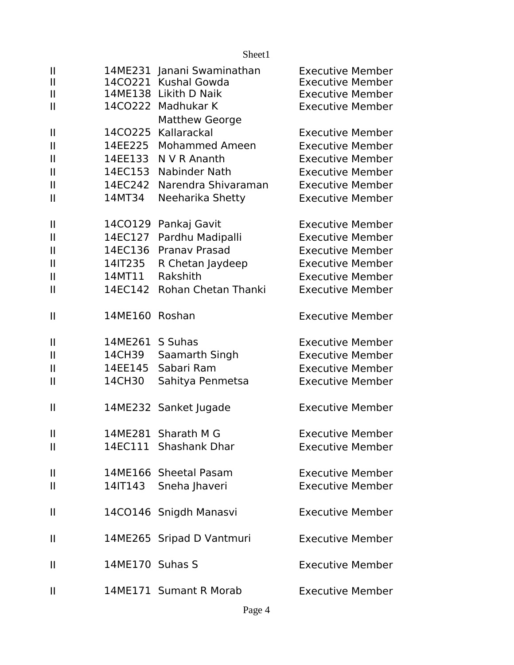|                                                                                                  |                                                               | Sheet1                                                                                                                                     |                                                                                                                                                                |
|--------------------------------------------------------------------------------------------------|---------------------------------------------------------------|--------------------------------------------------------------------------------------------------------------------------------------------|----------------------------------------------------------------------------------------------------------------------------------------------------------------|
| $\mathbf{I}$<br>$\mathbf{I}$<br>$\mathbf{II}$<br>$\mathbf{II}$                                   |                                                               | 14ME231 Janani Swaminathan<br>14CO221 Kushal Gowda<br>14ME138 Likith D Naik<br>14CO222 Madhukar K                                          | <b>Executive Member</b><br><b>Executive Member</b><br><b>Executive Member</b><br><b>Executive Member</b>                                                       |
| $\mathbf{I}$<br>$\mathsf{II}$<br>$\mathbf{II}$<br>$\mathbf{II}$<br>$\mathbf{II}$<br>$\mathbf{I}$ | 14EE225<br>14EE133<br>14EC153<br>14EC242<br>14MT34            | <b>Matthew George</b><br>14CO225 Kallarackal<br>Mohammed Ameen<br>N V R Ananth<br>Nabinder Nath<br>Narendra Shivaraman<br>Neeharika Shetty | <b>Executive Member</b><br><b>Executive Member</b><br><b>Executive Member</b><br><b>Executive Member</b><br><b>Executive Member</b><br><b>Executive Member</b> |
| $\mathbf{II}$<br>$\mathbf{II}$<br>$\mathbf{I}$<br>$\mathbf{I}$<br>$\mathbf{II}$<br>$\mathbf{II}$ | 14CO129<br>14EC127<br>14EC136<br>14IT235<br>14MT11<br>14EC142 | Pankaj Gavit<br>Pardhu Madipalli<br><b>Pranav Prasad</b><br>R Chetan Jaydeep<br>Rakshith<br><b>Rohan Chetan Thanki</b>                     | <b>Executive Member</b><br><b>Executive Member</b><br><b>Executive Member</b><br><b>Executive Member</b><br><b>Executive Member</b><br><b>Executive Member</b> |
| $\mathbf{I}$                                                                                     | 14ME160                                                       | Roshan                                                                                                                                     | <b>Executive Member</b>                                                                                                                                        |
| $\mathbf{I}$<br>$\mathsf{II}$<br>$\mathbf{II}$<br>$\mathsf{II}$                                  | 14ME261<br>14CH39<br>14EE145<br>14CH30                        | S Suhas<br>Saamarth Singh<br>Sabari Ram<br>Sahitya Penmetsa                                                                                | <b>Executive Member</b><br><b>Executive Member</b><br><b>Executive Member</b><br><b>Executive Member</b>                                                       |
| $\mathbf{I}$                                                                                     |                                                               | 14ME232 Sanket Jugade                                                                                                                      | <b>Executive Member</b>                                                                                                                                        |
| $\mathbf{I}$<br>$\mathbf{I}$                                                                     |                                                               | 14ME281 Sharath M G<br>14EC111 Shashank Dhar                                                                                               | <b>Executive Member</b><br><b>Executive Member</b>                                                                                                             |
| $\mathbf{I}$<br>$\mathbf{I}$                                                                     | 14IT143                                                       | 14ME166 Sheetal Pasam<br>Sneha Jhaveri                                                                                                     | <b>Executive Member</b><br><b>Executive Member</b>                                                                                                             |
| $\mathbf{I}$                                                                                     |                                                               | 14CO146 Snigdh Manasvi                                                                                                                     | <b>Executive Member</b>                                                                                                                                        |
| $\mathbf{I}$                                                                                     |                                                               | 14ME265 Sripad D Vantmuri                                                                                                                  | <b>Executive Member</b>                                                                                                                                        |
| $\mathbf{I}$                                                                                     | 14ME170 Suhas S                                               |                                                                                                                                            | <b>Executive Member</b>                                                                                                                                        |
| $\mathbf{I}$                                                                                     |                                                               | 14ME171 Sumant R Morab                                                                                                                     | <b>Executive Member</b>                                                                                                                                        |